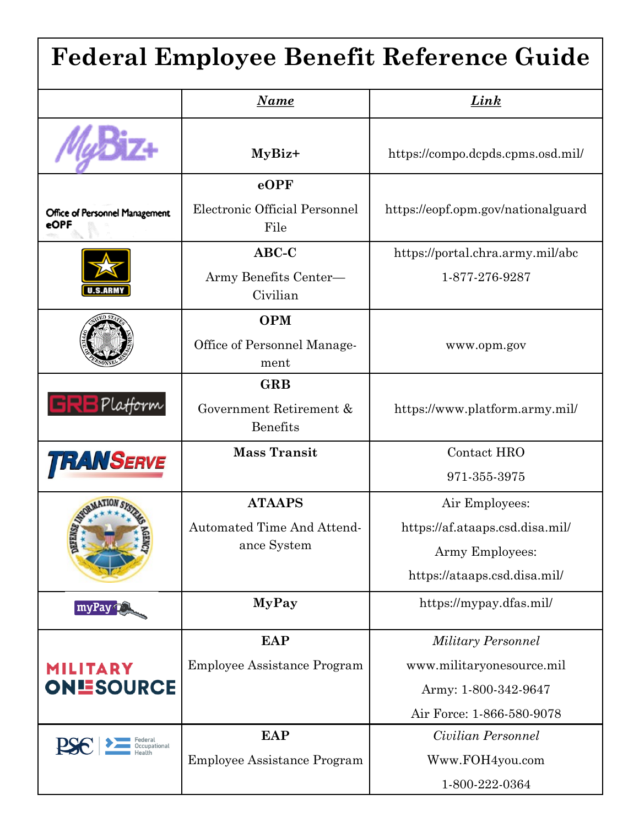| <b>Federal Employee Benefit Reference Guide</b> |                                            |                                    |  |  |
|-------------------------------------------------|--------------------------------------------|------------------------------------|--|--|
|                                                 | <u>Name</u>                                | <u>Link</u>                        |  |  |
|                                                 | MyBiz+                                     | https://compo.dcpds.cpms.osd.mil/  |  |  |
|                                                 | $e$ OPF                                    |                                    |  |  |
| Office of Personnel Management<br>eOPF          | Electronic Official Personnel<br>File      | https://eopf.opm.gov/nationalguard |  |  |
| U.S.ARMY                                        | $ABC-C$                                    | https://portal.chra.army.mil/abc   |  |  |
|                                                 | Army Benefits Center-<br>Civilian          | 1-877-276-9287                     |  |  |
|                                                 | <b>OPM</b>                                 |                                    |  |  |
|                                                 | Office of Personnel Manage-<br>ment        | www.opm.gov                        |  |  |
| <b>GRBPlatform</b>                              | <b>GRB</b>                                 |                                    |  |  |
|                                                 | Government Retirement &<br><b>Benefits</b> | https://www.platform.army.mil/     |  |  |
| <b>TRANSERVE</b>                                | <b>Mass Transit</b>                        | Contact HRO                        |  |  |
|                                                 |                                            | 971-355-3975                       |  |  |
| MATION                                          | ATAAPS                                     | Air Employees:                     |  |  |
|                                                 | Automated Time And Attend-                 | https://af.ataaps.csd.disa.mil/    |  |  |
|                                                 | ance System                                | Army Employees:                    |  |  |
|                                                 |                                            | https://ataaps.csd.disa.mil/       |  |  |
| myPay                                           | <b>MyPay</b>                               | https://mypay.dfas.mil/            |  |  |
|                                                 | <b>EAP</b>                                 | <b>Military Personnel</b>          |  |  |
| MILITARY<br><b>ONESOURCE</b>                    | Employee Assistance Program                | www.militaryonesource.mil          |  |  |
|                                                 |                                            | Army: 1-800-342-9647               |  |  |
|                                                 |                                            | Air Force: 1-866-580-9078          |  |  |
|                                                 | <b>EAP</b>                                 | Civilian Personnel                 |  |  |
|                                                 | <b>Employee Assistance Program</b>         | Www.FOH4you.com                    |  |  |
|                                                 |                                            | 1-800-222-0364                     |  |  |